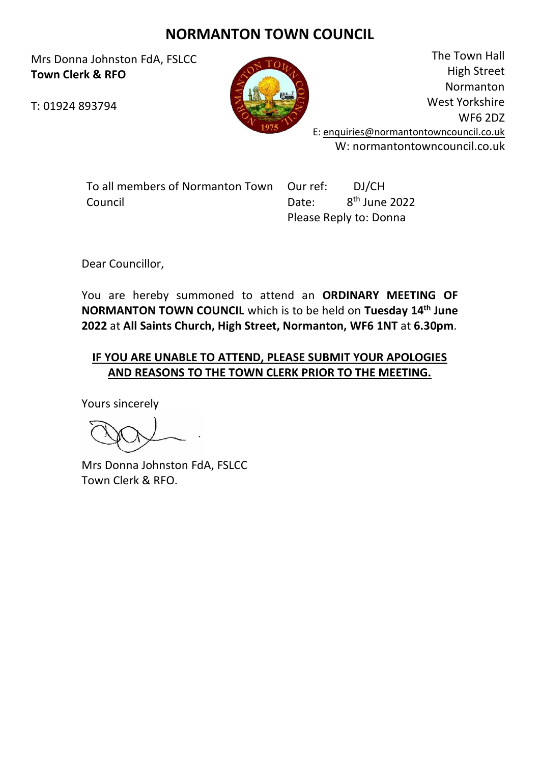## **NORMANTON TOWN COUNCIL**

Mrs Donna Johnston FdA, FSLCC **Town Clerk & RFO**



The Town Hall High Street Normanton West Yorkshire WF6 2DZ E: [enquiries@normantontowncouncil.co.uk](mailto:enquiries@normantontowncouncil.co.uk) W: normantontowncouncil.co.uk

To all members of Normanton Town Council

Our ref: DJ/CH Date:  $8<sup>th</sup>$  June 2022 Please Reply to: Donna

Dear Councillor,

You are hereby summoned to attend an **ORDINARY MEETING OF NORMANTON TOWN COUNCIL** which is to be held on **Tuesday 14th June 2022** at **All Saints Church, High Street, Normanton, WF6 1NT** at **6.30pm**.

## **IF YOU ARE UNABLE TO ATTEND, PLEASE SUBMIT YOUR APOLOGIES AND REASONS TO THE TOWN CLERK PRIOR TO THE MEETING.**

Yours sincerely

Mrs Donna Johnston FdA, FSLCC Town Clerk & RFO.

T: 01924 893794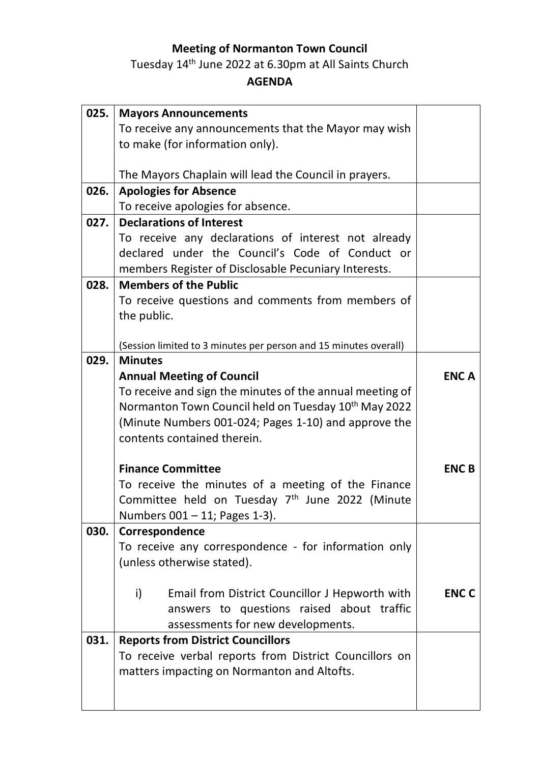## **Meeting of Normanton Town Council**

Tuesday 14<sup>th</sup> June 2022 at 6.30pm at All Saints Church

## **AGENDA**

| 025. | <b>Mayors Announcements</b>                                                                                                  |              |
|------|------------------------------------------------------------------------------------------------------------------------------|--------------|
|      | To receive any announcements that the Mayor may wish                                                                         |              |
|      | to make (for information only).                                                                                              |              |
|      |                                                                                                                              |              |
|      | The Mayors Chaplain will lead the Council in prayers.                                                                        |              |
| 026. | <b>Apologies for Absence</b>                                                                                                 |              |
|      | To receive apologies for absence.                                                                                            |              |
| 027. | <b>Declarations of Interest</b>                                                                                              |              |
|      | To receive any declarations of interest not already                                                                          |              |
|      | declared under the Council's Code of Conduct or                                                                              |              |
|      | members Register of Disclosable Pecuniary Interests.                                                                         |              |
| 028. | <b>Members of the Public</b>                                                                                                 |              |
|      | To receive questions and comments from members of                                                                            |              |
|      | the public.                                                                                                                  |              |
|      |                                                                                                                              |              |
|      | (Session limited to 3 minutes per person and 15 minutes overall)                                                             |              |
| 029. | <b>Minutes</b>                                                                                                               | <b>ENCA</b>  |
|      | <b>Annual Meeting of Council</b>                                                                                             |              |
|      | To receive and sign the minutes of the annual meeting of<br>Normanton Town Council held on Tuesday 10 <sup>th</sup> May 2022 |              |
|      | (Minute Numbers 001-024; Pages 1-10) and approve the                                                                         |              |
|      | contents contained therein.                                                                                                  |              |
|      |                                                                                                                              |              |
|      | <b>Finance Committee</b>                                                                                                     | <b>ENCB</b>  |
|      | To receive the minutes of a meeting of the Finance                                                                           |              |
|      | Committee held on Tuesday 7 <sup>th</sup> June 2022 (Minute                                                                  |              |
|      | Numbers 001 - 11; Pages 1-3).                                                                                                |              |
| 030. | Correspondence                                                                                                               |              |
|      | To receive any correspondence - for information only                                                                         |              |
|      | (unless otherwise stated).                                                                                                   |              |
|      |                                                                                                                              |              |
|      | i)<br>Email from District Councillor J Hepworth with                                                                         | <b>ENC C</b> |
|      | answers to questions raised about traffic                                                                                    |              |
|      | assessments for new developments.                                                                                            |              |
| 031. | <b>Reports from District Councillors</b>                                                                                     |              |
|      | To receive verbal reports from District Councillors on                                                                       |              |
|      | matters impacting on Normanton and Altofts.                                                                                  |              |
|      |                                                                                                                              |              |
|      |                                                                                                                              |              |